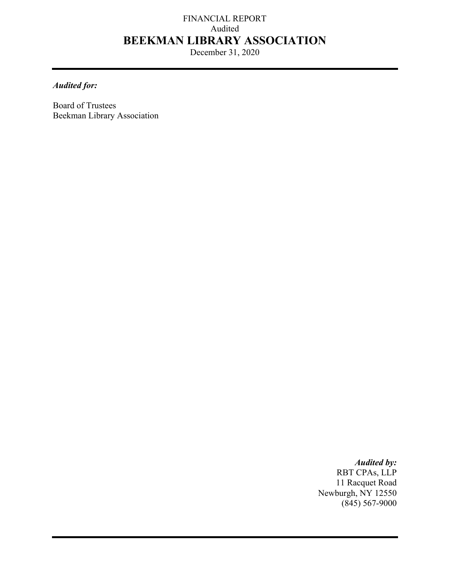# FINANCIAL REPORT Audited **BEEKMAN LIBRARY ASSOCIATION**

December 31, 2020

## *Audited for:*

Board of Trustees Beekman Library Association

> *Audited by:*  RBT CPAs, LLP 11 Racquet Road Newburgh, NY 12550  $(845)$  567-9000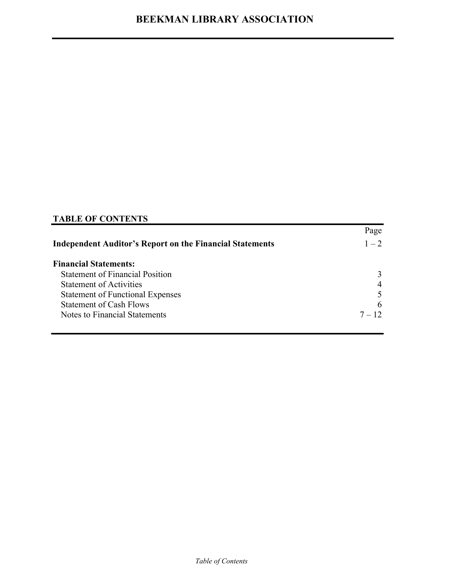## **TABLE OF CONTENTS**

|                                                                 | Page           |
|-----------------------------------------------------------------|----------------|
| <b>Independent Auditor's Report on the Financial Statements</b> | $1 - 2$        |
| <b>Financial Statements:</b>                                    |                |
| <b>Statement of Financial Position</b>                          | 3              |
| <b>Statement of Activities</b>                                  | $\overline{4}$ |
| <b>Statement of Functional Expenses</b>                         |                |
| <b>Statement of Cash Flows</b>                                  | 6              |
| Notes to Financial Statements                                   | $7 - 12$       |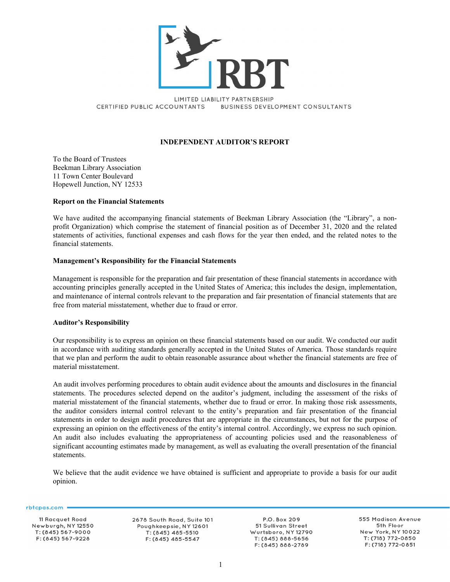

LIMITED LIABILITY PARTNERSHIP CERTIFIED PUBLIC ACCOUNTANTS **BUSINESS DEVELOPMENT CONSULTANTS** 

#### **INDEPENDENT AUDITOR'S REPORT**

To the Board of Trustees Beekman Library Association 11 Town Center Boulevard Hopewell Junction, NY 12533

#### **Report on the Financial Statements**

We have audited the accompanying financial statements of Beekman Library Association (the "Library", a nonprofit Organization) which comprise the statement of financial position as of December 31, 2020 and the related statements of activities, functional expenses and cash flows for the year then ended, and the related notes to the financial statements.

#### **Management's Responsibility for the Financial Statements**

Management is responsible for the preparation and fair presentation of these financial statements in accordance with accounting principles generally accepted in the United States of America; this includes the design, implementation, and maintenance of internal controls relevant to the preparation and fair presentation of financial statements that are free from material misstatement, whether due to fraud or error.

#### **Auditor's Responsibility**

Our responsibility is to express an opinion on these financial statements based on our audit. We conducted our audit in accordance with auditing standards generally accepted in the United States of America. Those standards require that we plan and perform the audit to obtain reasonable assurance about whether the financial statements are free of material misstatement.

An audit involves performing procedures to obtain audit evidence about the amounts and disclosures in the financial statements. The procedures selected depend on the auditor's judgment, including the assessment of the risks of material misstatement of the financial statements, whether due to fraud or error. In making those risk assessments, the auditor considers internal control relevant to the entity's preparation and fair presentation of the financial statements in order to design audit procedures that are appropriate in the circumstances, but not for the purpose of expressing an opinion on the effectiveness of the entity's internal control. Accordingly, we express no such opinion. An audit also includes evaluating the appropriateness of accounting policies used and the reasonableness of significant accounting estimates made by management, as well as evaluating the overall presentation of the financial statements.

We believe that the audit evidence we have obtained is sufficient and appropriate to provide a basis for our audit opinion.

rbtcpas.com =

11 Racquet Road Newburgh, NY 12550 T: (845) 567-9000 F: (845) 567-9228

2678 South Road, Suite 101 Poughkeepsie, NY 12601 T: (845) 485-5510 F: (845) 485-5547

P.O. Box 209 51 Sullivan Street Wurtsboro, NY 12790 T: (845) 888-5656 F: (845) 888-2789

555 Madison Avenue 5th Floor New York, NY 10022 T: (718) 772-0850 F: (718) 772-0851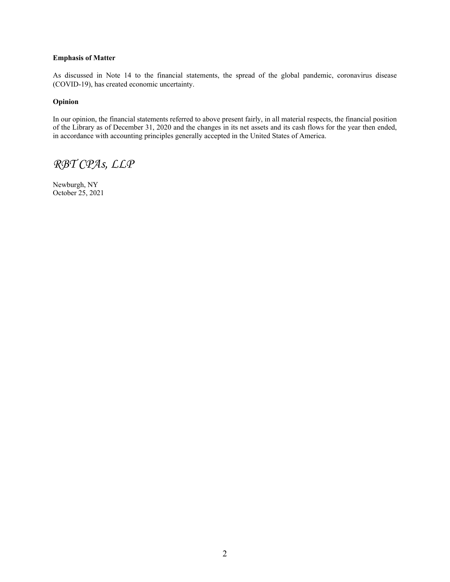#### **Emphasis of Matter**

As discussed in Note 14 to the financial statements, the spread of the global pandemic, coronavirus disease (COVID-19), has created economic uncertainty.

#### **Opinion**

In our opinion, the financial statements referred to above present fairly, in all material respects, the financial position of the Library as of December 31, 2020 and the changes in its net assets and its cash flows for the year then ended, in accordance with accounting principles generally accepted in the United States of America.

# *RBT CPAs, LLP*

Newburgh, NY October 25, 2021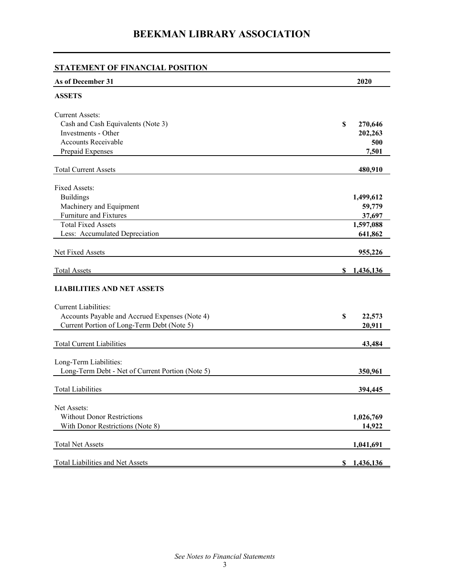| STATEMENT OF FINANCIAL POSITION                  |                 |
|--------------------------------------------------|-----------------|
| As of December 31                                | 2020            |
| <b>ASSETS</b>                                    |                 |
| <b>Current Assets:</b>                           |                 |
| Cash and Cash Equivalents (Note 3)               | \$<br>270,646   |
| Investments - Other                              | 202,263         |
| <b>Accounts Receivable</b>                       | 500             |
| Prepaid Expenses                                 | 7,501           |
| <b>Total Current Assets</b>                      | 480,910         |
| Fixed Assets:                                    |                 |
| <b>Buildings</b>                                 | 1,499,612       |
| Machinery and Equipment                          | 59,779          |
| Furniture and Fixtures                           | 37,697          |
| <b>Total Fixed Assets</b>                        | 1,597,088       |
| Less: Accumulated Depreciation                   | 641,862         |
| Net Fixed Assets                                 | 955,226         |
| <b>Total Assets</b>                              | 1,436,136<br>S. |
| <b>LIABILITIES AND NET ASSETS</b>                |                 |
| <b>Current Liabilities:</b>                      |                 |
| Accounts Payable and Accrued Expenses (Note 4)   | \$<br>22,573    |
| Current Portion of Long-Term Debt (Note 5)       | 20,911          |
| <b>Total Current Liabilities</b>                 | 43,484          |
| Long-Term Liabilities:                           |                 |
| Long-Term Debt - Net of Current Portion (Note 5) | 350,961         |
| <b>Total Liabilities</b>                         | 394,445         |
|                                                  |                 |
| Net Assets:                                      |                 |
| <b>Without Donor Restrictions</b>                | 1,026,769       |
| With Donor Restrictions (Note 8)                 | 14,922          |
| <b>Total Net Assets</b>                          | 1,041,691       |
| Total Liabilities and Net Assets                 | \$1,436,136     |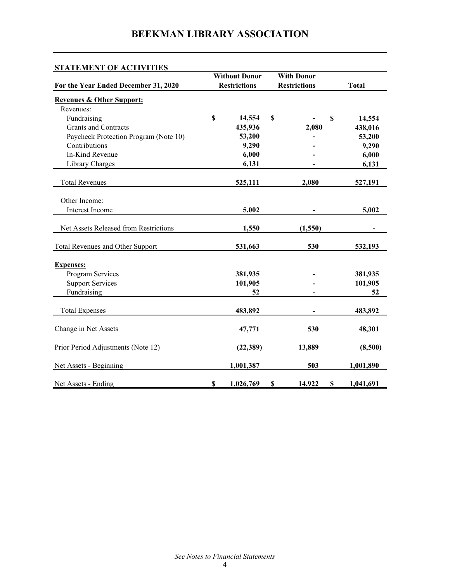| <b>STATEMENT OF ACTIVITIES</b>        |                      |                                            |    |                                     |              |  |
|---------------------------------------|----------------------|--------------------------------------------|----|-------------------------------------|--------------|--|
|                                       | <b>Without Donor</b> |                                            |    | <b>With Donor</b>                   |              |  |
| For the Year Ended December 31, 2020  |                      | <b>Restrictions</b><br><b>Restrictions</b> |    |                                     | <b>Total</b> |  |
| <b>Revenues &amp; Other Support:</b>  |                      |                                            |    |                                     |              |  |
| Revenues:                             |                      |                                            |    |                                     |              |  |
| Fundraising                           | \$                   | 14,554                                     | \$ | \$                                  | 14,554       |  |
| <b>Grants and Contracts</b>           |                      | 435,936                                    |    | 2,080                               | 438,016      |  |
| Paycheck Protection Program (Note 10) |                      | 53,200                                     |    |                                     | 53,200       |  |
| Contributions                         |                      | 9,290                                      |    |                                     | 9,290        |  |
| In-Kind Revenue                       |                      | 6,000                                      |    |                                     | 6,000        |  |
| Library Charges                       |                      | 6,131                                      |    |                                     | 6,131        |  |
| <b>Total Revenues</b>                 |                      | 525,111                                    |    | 2,080                               | 527,191      |  |
|                                       |                      |                                            |    |                                     |              |  |
| Other Income:                         |                      |                                            |    |                                     |              |  |
| Interest Income                       |                      | 5,002                                      |    |                                     | 5,002        |  |
|                                       |                      |                                            |    |                                     |              |  |
| Net Assets Released from Restrictions |                      | 1,550                                      |    | (1,550)                             |              |  |
| Total Revenues and Other Support      |                      | 531,663                                    |    | 530                                 | 532,193      |  |
| <b>Expenses:</b>                      |                      |                                            |    |                                     |              |  |
| Program Services                      |                      | 381,935                                    |    |                                     | 381,935      |  |
| <b>Support Services</b>               |                      | 101,905                                    |    |                                     | 101,905      |  |
| Fundraising                           |                      | 52                                         |    |                                     | 52           |  |
|                                       |                      |                                            |    |                                     |              |  |
| <b>Total Expenses</b>                 |                      | 483,892                                    |    |                                     | 483,892      |  |
| Change in Net Assets                  |                      | 47,771                                     |    | 530                                 | 48,301       |  |
|                                       |                      |                                            |    |                                     |              |  |
| Prior Period Adjustments (Note 12)    |                      | (22, 389)                                  |    | 13,889                              | (8,500)      |  |
| Net Assets - Beginning                |                      | 1,001,387                                  |    | 503                                 | 1,001,890    |  |
| Net Assets - Ending                   | $\mathbb S$          | 1,026,769                                  | \$ | 14,922<br>$\boldsymbol{\mathsf{S}}$ | 1,041,691    |  |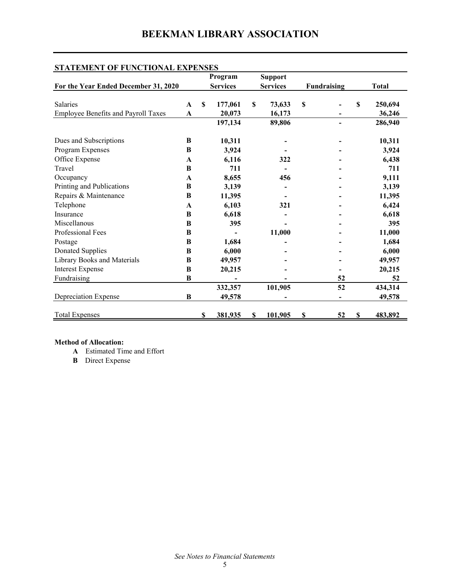| STATEMENT OF FUNCTIONAL EXPENSES     |             |             |                 |    |                 |    |                          |    |              |
|--------------------------------------|-------------|-------------|-----------------|----|-----------------|----|--------------------------|----|--------------|
|                                      |             |             | Program         |    | <b>Support</b>  |    |                          |    |              |
| For the Year Ended December 31, 2020 |             |             | <b>Services</b> |    | <b>Services</b> |    | Fundraising              |    | <b>Total</b> |
|                                      |             |             |                 |    |                 |    |                          |    |              |
| Salaries                             | $\mathbf A$ | $\mathbf S$ | 177,061         | \$ | 73,633          | \$ |                          | \$ | 250,694      |
| Employee Benefits and Payroll Taxes  | $\mathbf A$ |             | 20,073          |    | 16,173          |    |                          |    | 36,246       |
|                                      |             |             | 197,134         |    | 89,806          |    | $\overline{\phantom{a}}$ |    | 286,940      |
| Dues and Subscriptions               | B           |             | 10,311          |    |                 |    |                          |    | 10,311       |
| Program Expenses                     | B           |             | 3,924           |    |                 |    |                          |    | 3,924        |
| Office Expense                       | A           |             | 6,116           |    | 322             |    |                          |    | 6,438        |
| Travel                               | B           |             | 711             |    |                 |    |                          |    | 711          |
| Occupancy                            | A           |             | 8,655           |    | 456             |    |                          |    | 9,111        |
| Printing and Publications            | B           |             | 3,139           |    |                 |    |                          |    | 3,139        |
| Repairs & Maintenance                | B           |             | 11,395          |    |                 |    |                          |    | 11,395       |
| Telephone                            | A           |             | 6,103           |    | 321             |    |                          |    | 6,424        |
| Insurance                            | B           |             | 6,618           |    |                 |    |                          |    | 6,618        |
| Miscellanous                         | B           |             | 395             |    |                 |    |                          |    | 395          |
| Professional Fees                    | B           |             |                 |    | 11,000          |    |                          |    | 11,000       |
| Postage                              | B           |             | 1,684           |    |                 |    |                          |    | 1,684        |
| <b>Donated Supplies</b>              | B           |             | 6,000           |    |                 |    |                          |    | 6,000        |
| Library Books and Materials          | B           |             | 49,957          |    |                 |    |                          |    | 49,957       |
| <b>Interest Expense</b>              | B           |             | 20,215          |    |                 |    |                          |    | 20,215       |
| Fundraising                          | B           |             |                 |    |                 |    | 52                       |    | 52           |
|                                      |             |             | 332,357         |    | 101,905         |    | 52                       |    | 434,314      |
| Depreciation Expense                 | B           |             | 49,578          |    |                 |    |                          |    | 49,578       |
| <b>Total Expenses</b>                |             | S           | 381,935         | S  | 101,905         | S  | 52                       | S  | 483,892      |
|                                      |             |             |                 |    |                 |    |                          |    |              |

### **Method of Allocation:**

- **A** Estimated Time and Effort
- **B** Direct Expense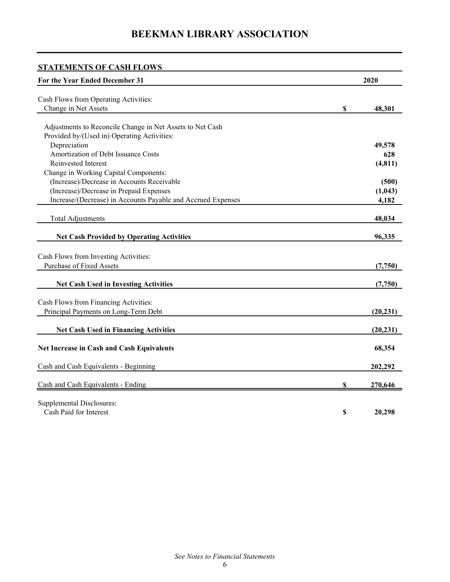| <b>STATEMENTS OF CASH FLOWS</b>                              |               |
|--------------------------------------------------------------|---------------|
| For the Year Ended December 31                               | 2020          |
|                                                              |               |
| Cash Flows from Operating Activities:                        |               |
| Change in Net Assets                                         | \$<br>48,301  |
| Adjustments to Reconcile Change in Net Assets to Net Cash    |               |
| Provided by/(Used in) Operating Activities:                  |               |
| Depreciation                                                 | 49,578        |
| Amortization of Debt Issuance Costs                          | 628           |
| Reinvested Interest                                          | (4, 811)      |
| Change in Working Capital Components:                        |               |
| (Increase)/Decrease in Accounts Receivable                   | (500)         |
| (Increase)/Decrease in Prepaid Expenses                      | (1,043)       |
| Increase/(Decrease) in Accounts Payable and Accrued Expenses | 4,182         |
|                                                              |               |
| <b>Total Adjustments</b>                                     | 48,034        |
| <b>Net Cash Provided by Operating Activities</b>             | 96,335        |
|                                                              |               |
| Cash Flows from Investing Activities:                        |               |
| <b>Purchase of Fixed Assets</b>                              | (7,750)       |
|                                                              |               |
| <b>Net Cash Used in Investing Activities</b>                 | (7,750)       |
|                                                              |               |
| Cash Flows from Financing Activities:                        |               |
| Principal Payments on Long-Term Debt                         | (20, 231)     |
| <b>Net Cash Used in Financing Activities</b>                 | (20, 231)     |
|                                                              |               |
| <b>Net Increase in Cash and Cash Equivalents</b>             | 68,354        |
|                                                              |               |
| Cash and Cash Equivalents - Beginning                        | 202,292       |
|                                                              |               |
| Cash and Cash Equivalents - Ending                           | \$<br>270,646 |
| <b>Supplemental Disclosures:</b>                             |               |
| Cash Paid for Interest                                       | \$<br>20,298  |
|                                                              |               |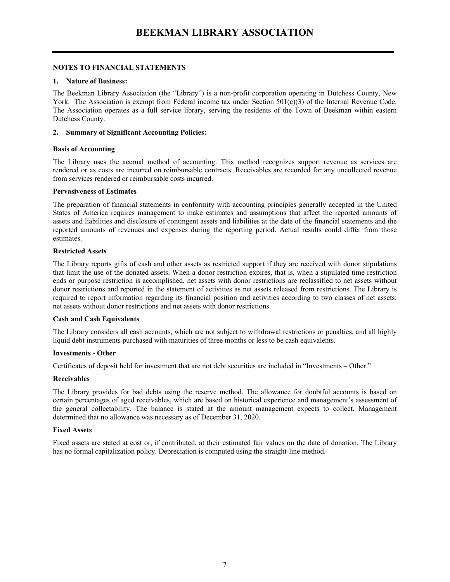#### **NOTES TO FINANCIAL STATEMENTS**

#### **1. Nature of Business:**

The Beekman Library Association (the "Library") is a non-profit corporation operating in Dutchess County, New York. The Association is exempt from Federal income tax under Section 501(c)(3) of the Internal Revenue Code. The Association operates as a full service library, serving the residents of the Town of Beekman within eastern Dutchess County.

#### **2. Summary of Significant Accounting Policies:**

#### **Basis of Accounting**

The Library uses the accrual method of accounting. This method recognizes support revenue as services are rendered or as costs are incurred on reimbursable contracts. Receivables are recorded for any uncollected revenue from services rendered or reimbursable costs incurred.

#### **Pervasiveness of Estimates**

The preparation of financial statements in conformity with accounting principles generally accepted in the United States of America requires management to make estimates and assumptions that affect the reported amounts of assets and liabilities and disclosure of contingent assets and liabilities at the date of the financial statements and the reported amounts of revenues and expenses during the reporting period. Actual results could differ from those estimates.

#### **Restricted Assets**

The Library reports gifts of cash and other assets as restricted support if they are received with donor stipulations that limit the use of the donated assets. When a donor restriction expires, that is, when a stipulated time restriction ends or purpose restriction is accomplished, net assets with donor restrictions are reclassified to net assets without donor restrictions and reported in the statement of activities as net assets released from restrictions. The Library is required to report information regarding its financial position and activities according to two classes of net assets: net assets without donor restrictions and net assets with donor restrictions.

#### **Cash and Cash Equivalents**

The Library considers all cash accounts, which are not subject to withdrawal restrictions or penalties, and all highly liquid debt instruments purchased with maturities of three months or less to be cash equivalents.

#### **Investments - Other**

Certificates of deposit held for investment that are not debt securities are included in "Investments – Other."

#### **Receivables**

The Library provides for bad debts using the reserve method. The allowance for doubtful accounts is based on certain percentages of aged receivables, which are based on historical experience and management's assessment of the general collectability. The balance is stated at the amount management expects to collect. Management determined that no allowance was necessary as of December 31, 2020.

#### **Fixed Assets**

Fixed assets are stated at cost or, if contributed, at their estimated fair values on the date of donation. The Library has no formal capitalization policy. Depreciation is computed using the straight-line method.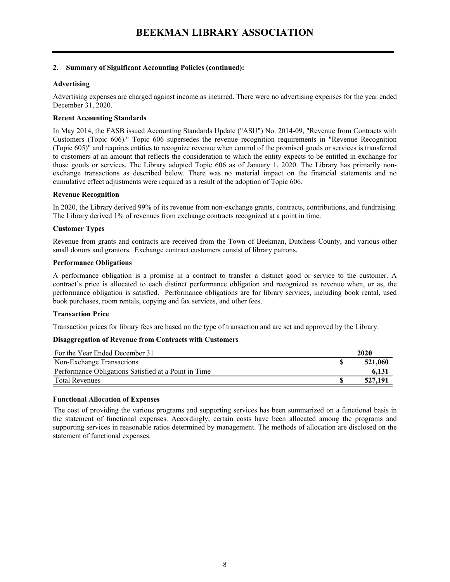#### **2. Summary of Significant Accounting Policies (continued):**

#### **Advertising**

Advertising expenses are charged against income as incurred. There were no advertising expenses for the year ended December 31, 2020.

#### **Recent Accounting Standards**

In May 2014, the FASB issued Accounting Standards Update ("ASU") No. 2014-09, "Revenue from Contracts with Customers (Topic 606)." Topic 606 supersedes the revenue recognition requirements in "Revenue Recognition (Topic 605)" and requires entities to recognize revenue when control of the promised goods or services is transferred to customers at an amount that reflects the consideration to which the entity expects to be entitled in exchange for those goods or services. The Library adopted Topic 606 as of January 1, 2020. The Library has primarily nonexchange transactions as described below. There was no material impact on the financial statements and no cumulative effect adjustments were required as a result of the adoption of Topic 606.

#### **Revenue Recognition**

In 2020, the Library derived 99% of its revenue from non-exchange grants, contracts, contributions, and fundraising. The Library derived 1% of revenues from exchange contracts recognized at a point in time.

#### **Customer Types**

Revenue from grants and contracts are received from the Town of Beekman, Dutchess County, and various other small donors and grantors. Exchange contract customers consist of library patrons.

#### **Performance Obligations**

A performance obligation is a promise in a contract to transfer a distinct good or service to the customer. A contract's price is allocated to each distinct performance obligation and recognized as revenue when, or as, the performance obligation is satisfied. Performance obligations are for library services, including book rental, used book purchases, room rentals, copying and fax services, and other fees.

#### **Transaction Price**

Transaction prices for library fees are based on the type of transaction and are set and approved by the Library.

#### **Disaggregation of Revenue from Contracts with Customers**

| For the Year Ended December 31                       | 2020    |
|------------------------------------------------------|---------|
| Non-Exchange Transactions                            | 521,060 |
| Performance Obligations Satisfied at a Point in Time | 6,131   |
| <b>Total Revenues</b>                                | 527,191 |

#### **Functional Allocation of Expenses**

The cost of providing the various programs and supporting services has been summarized on a functional basis in the statement of functional expenses. Accordingly, certain costs have been allocated among the programs and supporting services in reasonable ratios determined by management. The methods of allocation are disclosed on the statement of functional expenses.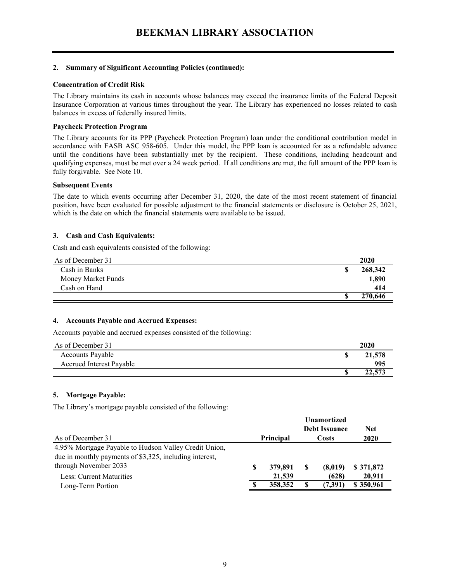#### **2. Summary of Significant Accounting Policies (continued):**

#### **Concentration of Credit Risk**

The Library maintains its cash in accounts whose balances may exceed the insurance limits of the Federal Deposit Insurance Corporation at various times throughout the year. The Library has experienced no losses related to cash balances in excess of federally insured limits.

#### **Paycheck Protection Program**

The Library accounts for its PPP (Paycheck Protection Program) loan under the conditional contribution model in accordance with FASB ASC 958-605. Under this model, the PPP loan is accounted for as a refundable advance until the conditions have been substantially met by the recipient. These conditions, including headcount and qualifying expenses, must be met over a 24 week period. If all conditions are met, the full amount of the PPP loan is fully forgivable. See Note 10.

#### **Subsequent Events**

The date to which events occurring after December 31, 2020, the date of the most recent statement of financial position, have been evaluated for possible adjustment to the financial statements or disclosure is October 25, 2021, which is the date on which the financial statements were available to be issued.

#### **3. Cash and Cash Equivalents:**

Cash and cash equivalents consisted of the following:

| As of December 31  | 2020    |
|--------------------|---------|
| Cash in Banks      | 268,342 |
| Money Market Funds | 1,890   |
| Cash on Hand       | 414     |
|                    | 270,646 |

#### **4. Accounts Payable and Accrued Expenses:**

Accounts payable and accrued expenses consisted of the following:

| As of December 31               | 2020   |
|---------------------------------|--------|
| Accounts Payable                | 21,578 |
| <b>Accrued Interest Pavable</b> | 995    |
|                                 | 22,573 |

#### **5. Mortgage Payable:**

The Library's mortgage payable consisted of the following:

|                                                         |   |           |    | <b>Unamortized</b><br><b>Debt Issuance</b> | <b>Net</b> |
|---------------------------------------------------------|---|-----------|----|--------------------------------------------|------------|
| As of December 31                                       |   | Principal |    | Costs                                      | 2020       |
| 4.95% Mortgage Payable to Hudson Valley Credit Union,   |   |           |    |                                            |            |
| due in monthly payments of \$3,325, including interest, |   |           |    |                                            |            |
| through November 2033                                   | S | 379,891   | S  | (8,019)                                    | \$371,872  |
| Less: Current Maturities                                |   | 21,539    |    | (628)                                      | 20.911     |
| Long-Term Portion                                       |   | 358,352   | \$ | (7,391)                                    | \$350,961  |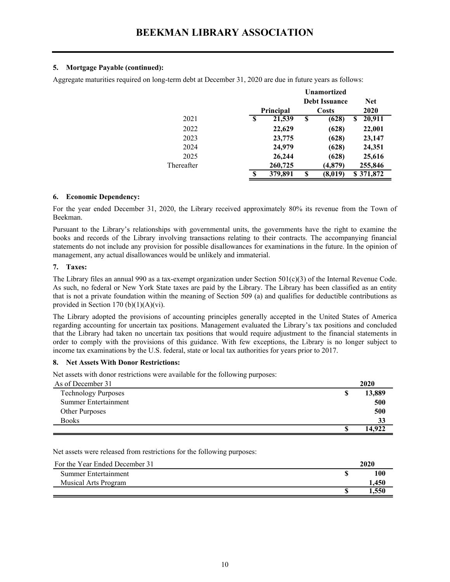#### **5. Mortgage Payable (continued):**

Aggregate maturities required on long-term debt at December 31, 2020 are due in future years as follows:

|            |   |           |    | <b>Unamortized</b><br><b>Debt Issuance</b> | <b>Net</b>   |
|------------|---|-----------|----|--------------------------------------------|--------------|
|            |   | Principal |    | Costs                                      | 2020         |
| 2021       | S | 21,539    | \$ | (628)                                      | \$<br>20,911 |
| 2022       |   | 22,629    |    | (628)                                      | 22,001       |
| 2023       |   | 23,775    |    | (628)                                      | 23,147       |
| 2024       |   | 24,979    |    | (628)                                      | 24,351       |
| 2025       |   | 26,244    |    | (628)                                      | 25,616       |
| Thereafter |   | 260,725   |    | (4, 879)                                   | 255,846      |
|            | S | 379,891   | S  | (8,019)                                    | \$371,872    |

#### **6. Economic Dependency:**

For the year ended December 31, 2020, the Library received approximately 80% its revenue from the Town of Beekman.

Pursuant to the Library's relationships with governmental units, the governments have the right to examine the books and records of the Library involving transactions relating to their contracts. The accompanying financial statements do not include any provision for possible disallowances for examinations in the future. In the opinion of management, any actual disallowances would be unlikely and immaterial.

#### **7. Taxes:**

The Library files an annual 990 as a tax-exempt organization under Section 501(c)(3) of the Internal Revenue Code. As such, no federal or New York State taxes are paid by the Library. The Library has been classified as an entity that is not a private foundation within the meaning of Section 509 (a) and qualifies for deductible contributions as provided in Section 170 (b) $(1)(A)(vi)$ .

The Library adopted the provisions of accounting principles generally accepted in the United States of America regarding accounting for uncertain tax positions. Management evaluated the Library's tax positions and concluded that the Library had taken no uncertain tax positions that would require adjustment to the financial statements in order to comply with the provisions of this guidance. With few exceptions, the Library is no longer subject to income tax examinations by the U.S. federal, state or local tax authorities for years prior to 2017.

#### **8. Net Assets With Donor Restrictions:**

Net assets with donor restrictions were available for the following purposes:

| As of December 31          | 2020   |
|----------------------------|--------|
| <b>Technology Purposes</b> | 13,889 |
| Summer Entertainment       | 500    |
| <b>Other Purposes</b>      | 500    |
| <b>Books</b>               | 33     |
|                            | 14.922 |

Net assets were released from restrictions for the following purposes:

| For the Year Ended December 31 | 2020        |
|--------------------------------|-------------|
| Summer Entertainment           | 100         |
| <b>Musical Arts Program</b>    | <b>.450</b> |
|                                | .550        |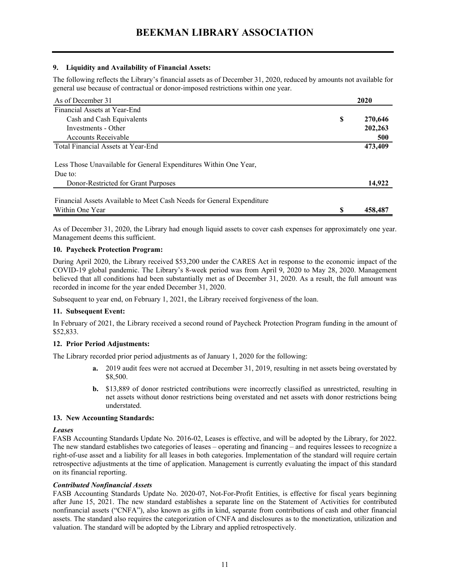#### **9. Liquidity and Availability of Financial Assets:**

The following reflects the Library's financial assets as of December 31, 2020, reduced by amounts not available for general use because of contractual or donor-imposed restrictions within one year.

| As of December 31                                                     | 2020 |         |
|-----------------------------------------------------------------------|------|---------|
| Financial Assets at Year-End                                          |      |         |
| Cash and Cash Equivalents                                             | \$   | 270,646 |
| Investments - Other                                                   |      | 202,263 |
| Accounts Receivable                                                   |      | 500     |
| Total Financial Assets at Year-End                                    |      | 473,409 |
| Less Those Unavailable for General Expenditures Within One Year,      |      |         |
| Due to:                                                               |      |         |
| Donor-Restricted for Grant Purposes                                   |      | 14,922  |
| Financial Assets Available to Meet Cash Needs for General Expenditure |      |         |
| Within One Year                                                       | S    | 458,487 |

As of December 31, 2020, the Library had enough liquid assets to cover cash expenses for approximately one year. Management deems this sufficient.

#### **10. Paycheck Protection Program:**

During April 2020, the Library received \$53,200 under the CARES Act in response to the economic impact of the COVID-19 global pandemic. The Library's 8-week period was from April 9, 2020 to May 28, 2020. Management believed that all conditions had been substantially met as of December 31, 2020. As a result, the full amount was recorded in income for the year ended December 31, 2020.

Subsequent to year end, on February 1, 2021, the Library received forgiveness of the loan.

#### **11. Subsequent Event:**

In February of 2021, the Library received a second round of Paycheck Protection Program funding in the amount of \$52,833.

#### **12. Prior Period Adjustments:**

The Library recorded prior period adjustments as of January 1, 2020 for the following:

- **a.** 2019 audit fees were not accrued at December 31, 2019, resulting in net assets being overstated by \$8,500.
- **b.** \$13,889 of donor restricted contributions were incorrectly classified as unrestricted, resulting in net assets without donor restrictions being overstated and net assets with donor restrictions being understated.

#### **13. New Accounting Standards:**

#### *Leases*

FASB Accounting Standards Update No. 2016-02, Leases is effective, and will be adopted by the Library, for 2022. The new standard establishes two categories of leases – operating and financing – and requires lessees to recognize a right-of-use asset and a liability for all leases in both categories. Implementation of the standard will require certain retrospective adjustments at the time of application. Management is currently evaluating the impact of this standard on its financial reporting.

#### *Contributed Nonfinancial Assets*

FASB Accounting Standards Update No. 2020-07, Not-For-Profit Entities, is effective for fiscal years beginning after June 15, 2021. The new standard establishes a separate line on the Statement of Activities for contributed nonfinancial assets ("CNFA"), also known as gifts in kind, separate from contributions of cash and other financial assets. The standard also requires the categorization of CNFA and disclosures as to the monetization, utilization and valuation. The standard will be adopted by the Library and applied retrospectively.